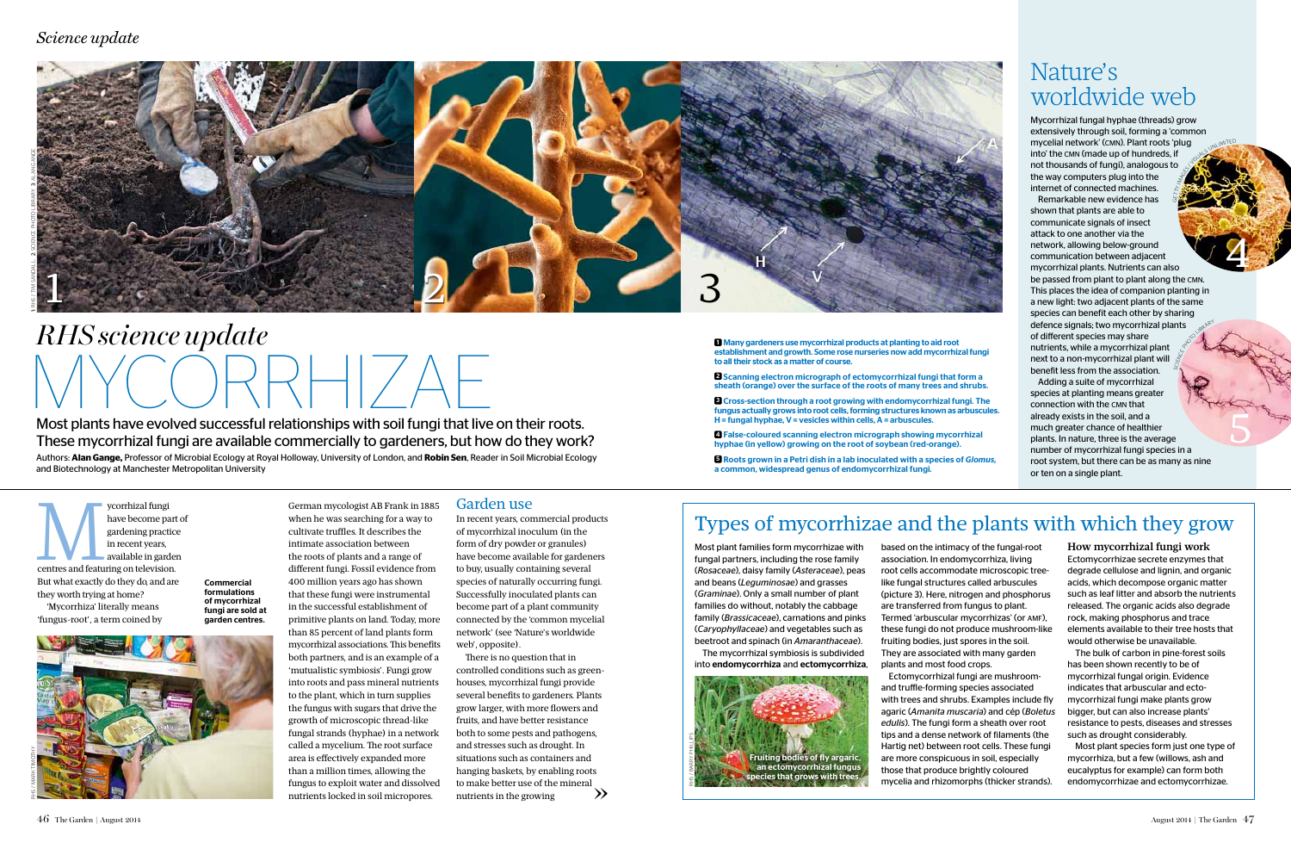### *Science update*

Most plant families form mycorrhizae with fungal partners, including the rose family (*Rosaceae*), daisy family (*Asteraceae*), peas and beans (*Leguminosae*) and grasses (*Graminae*). Only a small number of plant families do without, notably the cabbage family (*Brassicaceae*), carnations and pinks (*Caryophyllaceae*) and vegetables such as beetroot and spinach (in *Amaranthaceae*).

The mycorrhizal symbiosis is subdivided into endomycorrhiza and ectomycorrhiza,

based on the intimacy of the fungal-root association. In endomycorrhiza, living root cells accommodate microscopic treelike fungal structures called arbuscules (picture 3). Here, nitrogen and phosphorus are transferred from fungus to plant. Termed 'arbuscular mycorrhizas' (or amf), these fungi do not produce mushroom-like fruiting bodies, just spores in the soil. They are associated with many garden plants and most food crops.

Ectomycorrhizal fungi are mushroomand truffle-forming species associated with trees and shrubs. Examples include fly agaric (*Amanita muscaria*) and cép (*Boletus edulis*). The fungi form a sheath over root tips and a dense network of filaments (the Hartig net) between root cells. These fungi are more conspicuous in soil, especially those that produce brightly coloured mycelia and rhizomorphs (thicker strands).



How mycorrhizal fungi work Ectomycorrhizae secrete enzymes that degrade cellulose and lignin, and organic acids, which decompose organic matter such as leaf litter and absorb the nutrients released. The organic acids also degrade rock, making phosphorus and trace elements available to their tree hosts that would otherwise be unavailable.

The bulk of carbon in pine-forest soils has been shown recently to be of mycorrhizal fungal origin. Evidence indicates that arbuscular and ectomycorrhizal fungi make plants grow bigger, but can also increase plants' resistance to pests, diseases and stresses such as drought considerably.

Most plant species form just one type of mycorrhiza, but a few (willows, ash and eucalyptus for example) can form both endomycorrhizae and ectomycorrhizae.

**2** Scanning electron micrograph of ectomycorrhizal fungi that form a sheath (orange) over the surface of the roots of many trees and shrubs.

**3** Cross-section through a root growing with endomycorrhizal fungi. The fungus actually grows into root cells, forming structures known as arbuscules. H = fungal hyphae, V = vesicles within cells, A = arbuscules.

German mycologist AB Frank in 1885 when he was searching for a way to cultivate truffles. It describes the intimate association between the roots of plants and a range of different fungi. Fossil evidence from 400 million years ago has shown that these fungi were instrumental in the successful establishment of primitive plants on land. Today, more than 85 percent of land plants form mycorrhizal associations. This benefits both partners, and is an example of a 'mutualistic symbiosis'. Fungi grow into roots and pass mineral nutrients to the plant, which in turn supplies the fungus with sugars that drive the growth of microscopic thread-like fungal strands (hyphae) in a network called a mycelium. The root surface area is effectively expanded more than a million times, allowing the fungus to exploit water and dissolved nutrients locked in soil micropores.

Getty Images Indianapolis<br>Construction Images Indianapolis<br>Construction Images (Visual Indianapolis) Mycorrhizal fungal hyphae (threads) grow extensively through soil, forming a 'common mycelial network' (cmn). Plant roots 'plug into' the cmn (made up of hundreds, if not thousands of fungi), analogous to the way computers plug into the internet of connected machines.

Ints Coupeary Remarkable new evidence has shown that plants are able to communicate signals of insect attack to one another via the network, allowing below-ground communication between adjacent mycorrhizal plants. Nutrients can also be passed from plant to plant along the CMN. This places the idea of companion planting in a new light: two adjacent plants of the same species can benefit each other by sharing defence signals; two mycorrhizal plants of different species may share nutrients, while a mycorrhizal plant next to a non-mycorrhizal plant will benefit less from the association.

#### Garden use

In recent years, commercial products of mycorrhizal inoculum (in the form of dry powder or granules) have become available for gardeners to buy, usually containing several species of naturally occurring fungi. Successfully inoculated plants can become part of a plant community connected by the 'common mycelial network' (see 'Nature's worldwide web', opposite).

ycorrhizal fungi<br>
have become part<br>
gardening practice<br>
in recent years,<br>
available in garder<br>
centres and featuring on television. have become part of gardening practice in recent years, available in garden But what exactly do they do, and are they worth trying at home?

# Mycorrhizae *RHS science update*

Most plants have evolved successful relationships with soil fungi that live on their roots. These mycorrhizal fungi are available commercially to gardeners, but how do they work? Authors: **Alan Gange,** Professor of Microbial Ecology at Royal Holloway, University of London, and **Robin Sen**, Reader in Soil Microbial Ecology and Biotechnology at Manchester Metropolitan University

1 Many gardeners use mycorrhizal products at planting to aid root establishment and growth. Some rose nurseries now add mycorrhizal fungi to all their stock as a matter of course.

4 False-coloured scanning electron micrograph showing mycorrhizal hyphae (in yellow) growing on the root of soybean (red-orange).

There is no question that in controlled conditions such as greenhouses, mycorrhizal fungi provide several benefits to gardeners. Plants grow larger, with more flowers and fruits, and have better resistance both to some pests and pathogens, and stresses such as drought. In situations such as containers and hanging baskets, by enabling roots to make better use of the mineral nutrients in the growing » 5 Roots grown in a Petri dish in a lab inoculated with a species of *Glomus,*  a common, widespread genus of endomycorrhizal fungi*.*

## Nature's worldwide web



Adding a suite of mycorrhizal species at planting means greater connection with the cmn that already exists in the soil, and a much greater chance of healthier plants. In nature, three is the average number of mycorrhizal fungi species in a root system, but there can be as many as nine or ten on a single plant.



4

5

'Mycorrhiza' literally means 'fungus-root', a term coined by



Commercial formulations of mycorrhizal fungi are sold at

garden centres.

# Types of mycorrhizae and the plants with which they grow